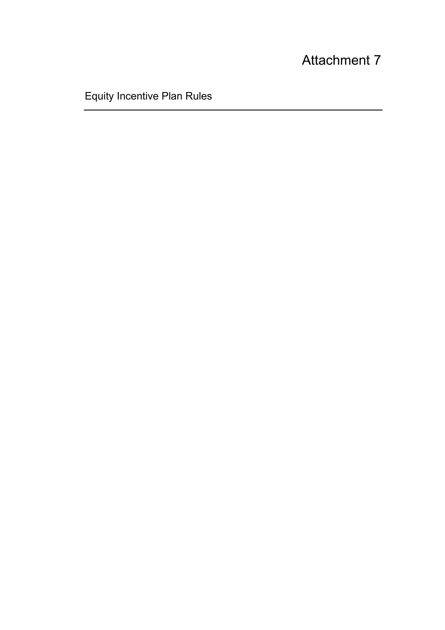# Attachment 7

Equity Incentive Plan Rules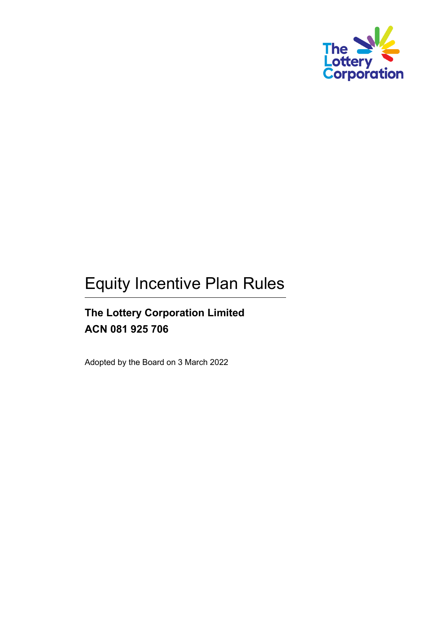

# Equity Incentive Plan Rules

# **The Lottery Corporation Limited ACN 081 925 706**

Adopted by the Board on 3 March 2022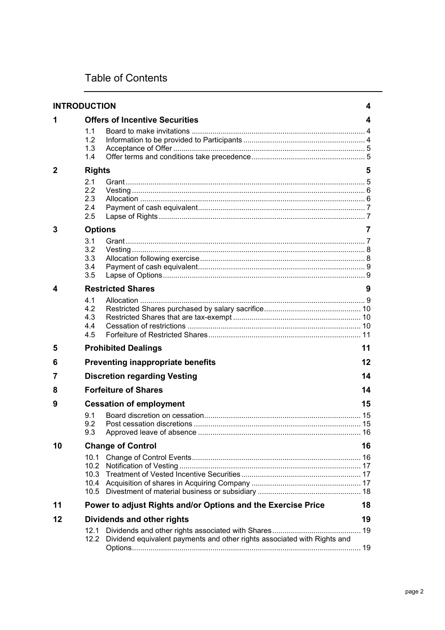# Table of Contents

| <b>INTRODUCTION</b> |                                              |                                                                          | 4  |
|---------------------|----------------------------------------------|--------------------------------------------------------------------------|----|
| 1                   |                                              | <b>Offers of Incentive Securities</b>                                    | 4  |
|                     | 1.1<br>1.2<br>1.3<br>1.4                     |                                                                          |    |
| 2                   | <b>Rights</b>                                |                                                                          |    |
|                     | 2.1<br>$2.2\phantom{0}$<br>2.3<br>2.4<br>2.5 |                                                                          |    |
| 3                   | <b>Options</b>                               |                                                                          | 7  |
|                     | 3.1<br>3.2<br>3.3<br>3.4<br>3.5              |                                                                          |    |
| 4                   | <b>Restricted Shares</b><br>9                |                                                                          |    |
|                     | 4.1<br>4.2<br>4.3<br>4.4<br>4.5              |                                                                          |    |
| 5                   |                                              | <b>Prohibited Dealings</b>                                               | 11 |
| 6                   |                                              | <b>Preventing inappropriate benefits</b>                                 | 12 |
| 7                   |                                              | <b>Discretion regarding Vesting</b>                                      | 14 |
| 8                   |                                              | <b>Forfeiture of Shares</b><br>14                                        |    |
| 9                   |                                              | <b>Cessation of employment</b>                                           | 15 |
|                     | 9.1<br>9.2<br>9.3                            | Approved leave of absence                                                |    |
| 10                  |                                              | <b>Change of Control</b>                                                 | 16 |
|                     | 10.1<br>10.2<br>10.4<br>10.5                 |                                                                          |    |
| 11                  |                                              | Power to adjust Rights and/or Options and the Exercise Price             | 18 |
| 12                  | Dividends and other rights                   |                                                                          |    |
|                     | 12.1<br>12.2                                 | Dividend equivalent payments and other rights associated with Rights and |    |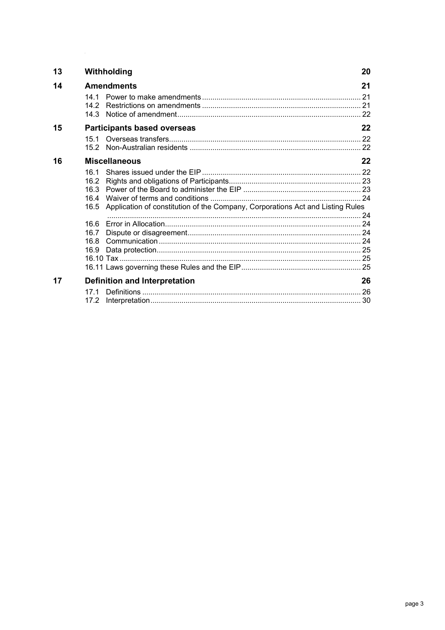| 13 |                                                             | Withholding                                                                    |    |  |
|----|-------------------------------------------------------------|--------------------------------------------------------------------------------|----|--|
| 14 | <b>Amendments</b>                                           |                                                                                |    |  |
|    | 14 1<br>142                                                 |                                                                                |    |  |
| 15 |                                                             | <b>Participants based overseas</b>                                             | 22 |  |
|    | 151                                                         |                                                                                |    |  |
| 16 |                                                             | <b>Miscellaneous</b>                                                           |    |  |
|    | 161<br>16.2<br>16.3<br>16.4<br>16.5<br>16.6<br>16.7<br>16.8 | Application of constitution of the Company, Corporations Act and Listing Rules |    |  |
|    | 16.9                                                        |                                                                                |    |  |
| 17 |                                                             | 26<br><b>Definition and Interpretation</b>                                     |    |  |
|    | 171<br>17.2                                                 |                                                                                |    |  |

 $\mathcal{L}^{\text{max}}_{\text{max}}$  and  $\mathcal{L}^{\text{max}}_{\text{max}}$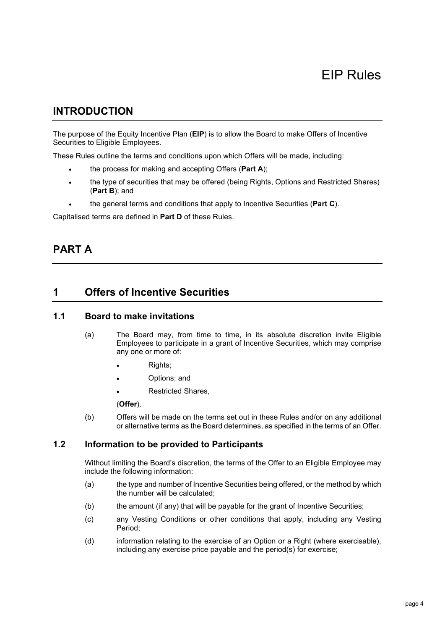# <span id="page-4-0"></span>**INTRODUCTION**

The purpose of the Equity Incentive Plan (**EIP**) is to allow the Board to make Offers of Incentive Securities to Eligible Employees.

These Rules outline the terms and conditions upon which Offers will be made, including:

- the process for making and accepting Offers (**Part A**);
- the type of securities that may be offered (being Rights, Options and Restricted Shares) (**Part B**); and
- the general terms and conditions that apply to Incentive Securities (**Part C**).

Capitalised terms are defined in **Part D** of these Rules.

# **PART A**

# <span id="page-4-1"></span>**1 Offers of Incentive Securities**

# <span id="page-4-2"></span>**1.1 Board to make invitations**

- (a) The Board may, from time to time, in its absolute discretion invite Eligible Employees to participate in a grant of Incentive Securities, which may comprise any one or more of:
	- Rights;
	- Options; and
	- Restricted Shares,

#### (**Offer**).

(b) Offers will be made on the terms set out in these Rules and/or on any additional or alternative terms as the Board determines, as specified in the terms of an Offer.

# <span id="page-4-3"></span>**1.2 Information to be provided to Participants**

Without limiting the Board's discretion, the terms of the Offer to an Eligible Employee may include the following information:

- (a) the type and number of Incentive Securities being offered, or the method by which the number will be calculated;
- (b) the amount (if any) that will be payable for the grant of Incentive Securities;
- (c) any Vesting Conditions or other conditions that apply, including any Vesting Period;
- (d) information relating to the exercise of an Option or a Right (where exercisable), including any exercise price payable and the period(s) for exercise;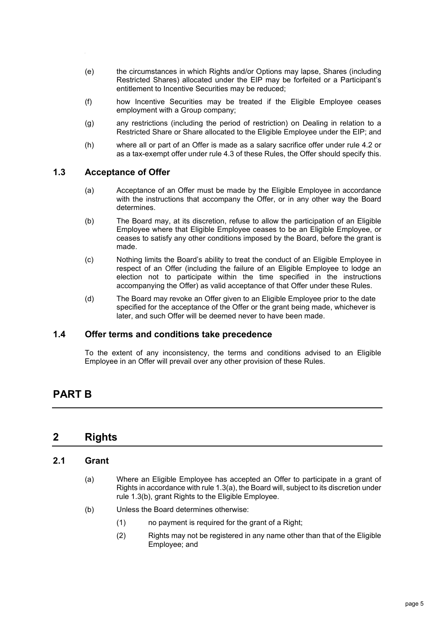- (e) the circumstances in which Rights and/or Options may lapse, Shares (including Restricted Shares) allocated under the EIP may be forfeited or a Participant's entitlement to Incentive Securities may be reduced;
- (f) how Incentive Securities may be treated if the Eligible Employee ceases employment with a Group company;
- (g) any restrictions (including the period of restriction) on Dealing in relation to a Restricted Share or Share allocated to the Eligible Employee under the EIP; and
- (h) where all or part of an Offer is made as a salary sacrifice offer under rule [4.2](#page-10-0) or as a tax-exempt offer under rule [4.3](#page-10-1) of these Rules, the Offer should specify this.

#### <span id="page-5-4"></span><span id="page-5-0"></span>**1.3 Acceptance of Offer**

- (a) Acceptance of an Offer must be made by the Eligible Employee in accordance with the instructions that accompany the Offer, or in any other way the Board determines.
- <span id="page-5-5"></span>(b) The Board may, at its discretion, refuse to allow the participation of an Eligible Employee where that Eligible Employee ceases to be an Eligible Employee, or ceases to satisfy any other conditions imposed by the Board, before the grant is made.
- (c) Nothing limits the Board's ability to treat the conduct of an Eligible Employee in respect of an Offer (including the failure of an Eligible Employee to lodge an election not to participate within the time specified in the instructions accompanying the Offer) as valid acceptance of that Offer under these Rules.
- (d) The Board may revoke an Offer given to an Eligible Employee prior to the date specified for the acceptance of the Offer or the grant being made, whichever is later, and such Offer will be deemed never to have been made.

#### <span id="page-5-1"></span>**1.4 Offer terms and conditions take precedence**

To the extent of any inconsistency, the terms and conditions advised to an Eligible Employee in an Offer will prevail over any other provision of these Rules.

# **PART B**

# <span id="page-5-2"></span>**2 Rights**

#### <span id="page-5-3"></span>**2.1 Grant**

- (a) Where an Eligible Employee has accepted an Offer to participate in a grant of Rights in accordance with rule [1.3\(a\),](#page-5-4) the Board will, subject to its discretion under rule [1.3\(b\),](#page-5-5) grant Rights to the Eligible Employee.
- (b) Unless the Board determines otherwise:
	- (1) no payment is required for the grant of a Right;
	- (2) Rights may not be registered in any name other than that of the Eligible Employee; and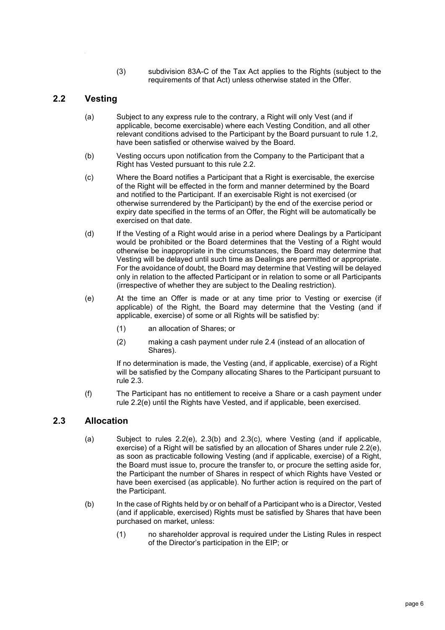(3) subdivision 83A-C of the Tax Act applies to the Rights (subject to the requirements of that Act) unless otherwise stated in the Offer.

# <span id="page-6-0"></span>**2.2 Vesting**

- (a) Subject to any express rule to the contrary, a Right will only Vest (and if applicable, become exercisable) where each Vesting Condition, and all other relevant conditions advised to the Participant by the Board pursuant to rule [1.2,](#page-4-3) have been satisfied or otherwise waived by the Board.
- (b) Vesting occurs upon notification from the Company to the Participant that a Right has Vested pursuant to this rule [2.2.](#page-6-0)
- (c) Where the Board notifies a Participant that a Right is exercisable, the exercise of the Right will be effected in the form and manner determined by the Board and notified to the Participant. If an exercisable Right is not exercised (or otherwise surrendered by the Participant) by the end of the exercise period or expiry date specified in the terms of an Offer, the Right will be automatically be exercised on that date.
- (d) If the Vesting of a Right would arise in a period where Dealings by a Participant would be prohibited or the Board determines that the Vesting of a Right would otherwise be inappropriate in the circumstances, the Board may determine that Vesting will be delayed until such time as Dealings are permitted or appropriate. For the avoidance of doubt, the Board may determine that Vesting will be delayed only in relation to the affected Participant or in relation to some or all Participants (irrespective of whether they are subject to the Dealing restriction).
- <span id="page-6-2"></span>(e) At the time an Offer is made or at any time prior to Vesting or exercise (if applicable) of the Right, the Board may determine that the Vesting (and if applicable, exercise) of some or all Rights will be satisfied by:
	- (1) an allocation of Shares; or
	- (2) making a cash payment under rule [2.4](#page-7-0) (instead of an allocation of Shares).

If no determination is made, the Vesting (and, if applicable, exercise) of a Right will be satisfied by the Company allocating Shares to the Participant pursuant to rule [2.3.](#page-6-1)

(f) The Participant has no entitlement to receive a Share or a cash payment under rule [2.2\(e\)](#page-6-2) until the Rights have Vested, and if applicable, been exercised.

## <span id="page-6-1"></span>**2.3 Allocation**

- (a) Subject to rules  $2.2(e)$ ,  $2.3(b)$  and  $2.3(c)$ , where Vesting (and if applicable, exercise) of a Right will be satisfied by an allocation of Shares under rule [2.2\(e\),](#page-6-2) as soon as practicable following Vesting (and if applicable, exercise) of a Right, the Board must issue to, procure the transfer to, or procure the setting aside for, the Participant the number of Shares in respect of which Rights have Vested or have been exercised (as applicable). No further action is required on the part of the Participant.
- <span id="page-6-3"></span>(b) In the case of Rights held by or on behalf of a Participant who is a Director, Vested (and if applicable, exercised) Rights must be satisfied by Shares that have been purchased on market, unless:
	- (1) no shareholder approval is required under the Listing Rules in respect of the Director's participation in the EIP; or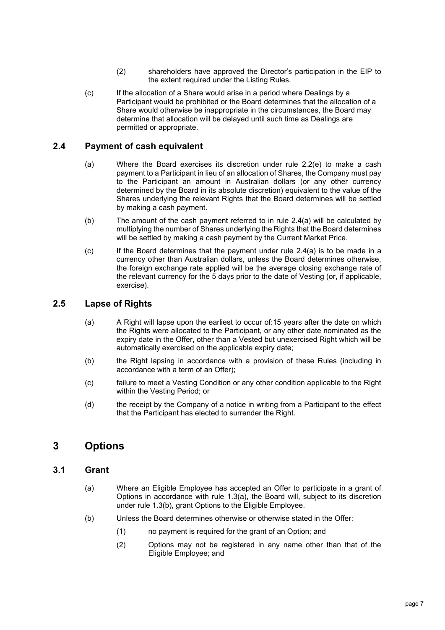- (2) shareholders have approved the Director's participation in the EIP to the extent required under the Listing Rules.
- <span id="page-7-4"></span>(c) If the allocation of a Share would arise in a period where Dealings by a Participant would be prohibited or the Board determines that the allocation of a Share would otherwise be inappropriate in the circumstances, the Board may determine that allocation will be delayed until such time as Dealings are permitted or appropriate.

# <span id="page-7-5"></span><span id="page-7-0"></span>**2.4 Payment of cash equivalent**

- (a) Where the Board exercises its discretion under rule [2.2\(e\)](#page-6-2) to make a cash payment to a Participant in lieu of an allocation of Shares, the Company must pay to the Participant an amount in Australian dollars (or any other currency determined by the Board in its absolute discretion) equivalent to the value of the Shares underlying the relevant Rights that the Board determines will be settled by making a cash payment.
- (b) The amount of the cash payment referred to in rule [2.4\(a\)](#page-7-5) will be calculated by multiplying the number of Shares underlying the Rights that the Board determines will be settled by making a cash payment by the Current Market Price.
- (c) If the Board determines that the payment under rule [2.4\(a\)](#page-7-5) is to be made in a currency other than Australian dollars, unless the Board determines otherwise, the foreign exchange rate applied will be the average closing exchange rate of the relevant currency for the 5 days prior to the date of Vesting (or, if applicable, exercise).

## <span id="page-7-1"></span>**2.5 Lapse of Rights**

- (a) A Right will lapse upon the earliest to occur of:15 years after the date on which the Rights were allocated to the Participant, or any other date nominated as the expiry date in the Offer, other than a Vested but unexercised Right which will be automatically exercised on the applicable expiry date;
- (b) the Right lapsing in accordance with a provision of these Rules (including in accordance with a term of an Offer);
- (c) failure to meet a Vesting Condition or any other condition applicable to the Right within the Vesting Period; or
- (d) the receipt by the Company of a notice in writing from a Participant to the effect that the Participant has elected to surrender the Right.

# <span id="page-7-2"></span>**3 Options**

## <span id="page-7-3"></span>**3.1 Grant**

- (a) Where an Eligible Employee has accepted an Offer to participate in a grant of Options in accordance with rule [1.3\(a\),](#page-5-4) the Board will, subject to its discretion under rule [1.3\(b\),](#page-5-5) grant Options to the Eligible Employee.
- (b) Unless the Board determines otherwise or otherwise stated in the Offer:
	- (1) no payment is required for the grant of an Option; and
	- (2) Options may not be registered in any name other than that of the Eligible Employee; and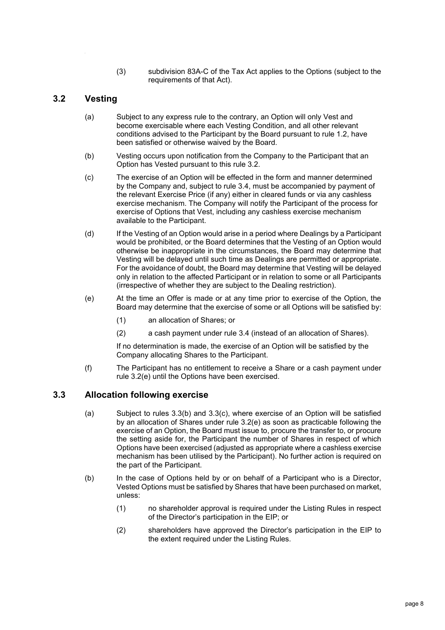(3) subdivision 83A-C of the Tax Act applies to the Options (subject to the requirements of that Act).

# <span id="page-8-0"></span>**3.2 Vesting**

- (a) Subject to any express rule to the contrary, an Option will only Vest and become exercisable where each Vesting Condition, and all other relevant conditions advised to the Participant by the Board pursuant to rule [1.2,](#page-4-3) have been satisfied or otherwise waived by the Board.
- (b) Vesting occurs upon notification from the Company to the Participant that an Option has Vested pursuant to this rule [3.2.](#page-8-0)
- (c) The exercise of an Option will be effected in the form and manner determined by the Company and, subject to rule [3.4,](#page-9-0) must be accompanied by payment of the relevant Exercise Price (if any) either in cleared funds or via any cashless exercise mechanism. The Company will notify the Participant of the process for exercise of Options that Vest, including any cashless exercise mechanism available to the Participant.
- (d) If the Vesting of an Option would arise in a period where Dealings by a Participant would be prohibited, or the Board determines that the Vesting of an Option would otherwise be inappropriate in the circumstances, the Board may determine that Vesting will be delayed until such time as Dealings are permitted or appropriate. For the avoidance of doubt, the Board may determine that Vesting will be delayed only in relation to the affected Participant or in relation to some or all Participants (irrespective of whether they are subject to the Dealing restriction).
- <span id="page-8-2"></span>(e) At the time an Offer is made or at any time prior to exercise of the Option, the Board may determine that the exercise of some or all Options will be satisfied by:
	- (1) an allocation of Shares; or
	- (2) a cash payment under rule [3.4](#page-9-0) (instead of an allocation of Shares).

If no determination is made, the exercise of an Option will be satisfied by the Company allocating Shares to the Participant.

(f) The Participant has no entitlement to receive a Share or a cash payment under rule [3.2\(e\)](#page-8-2) until the Options have been exercised.

## <span id="page-8-1"></span>**3.3 Allocation following exercise**

- (a) Subject to rules [3.3\(b\)](#page-8-3) and [3.3\(c\),](#page-9-4) where exercise of an Option will be satisfied by an allocation of Shares under rule [3.2\(e\)](#page-8-2) as soon as practicable following the exercise of an Option, the Board must issue to, procure the transfer to, or procure the setting aside for, the Participant the number of Shares in respect of which Options have been exercised (adjusted as appropriate where a cashless exercise mechanism has been utilised by the Participant). No further action is required on the part of the Participant.
- <span id="page-8-3"></span>(b) In the case of Options held by or on behalf of a Participant who is a Director, Vested Options must be satisfied by Shares that have been purchased on market, unless:
	- (1) no shareholder approval is required under the Listing Rules in respect of the Director's participation in the EIP; or
	- (2) shareholders have approved the Director's participation in the EIP to the extent required under the Listing Rules.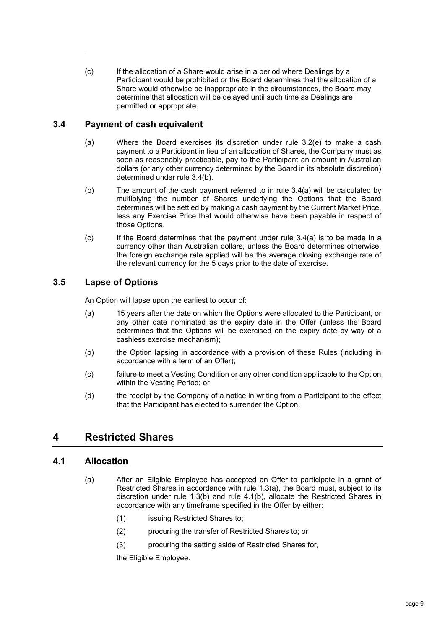<span id="page-9-4"></span>(c) If the allocation of a Share would arise in a period where Dealings by a Participant would be prohibited or the Board determines that the allocation of a Share would otherwise be inappropriate in the circumstances, the Board may determine that allocation will be delayed until such time as Dealings are permitted or appropriate.

# <span id="page-9-0"></span>**3.4 Payment of cash equivalent**

- <span id="page-9-6"></span>(a) Where the Board exercises its discretion under rule [3.2\(e\)](#page-8-2) to make a cash payment to a Participant in lieu of an allocation of Shares, the Company must as soon as reasonably practicable, pay to the Participant an amount in Australian dollars (or any other currency determined by the Board in its absolute discretion) determined under rule [3.4\(b\).](#page-9-5)
- <span id="page-9-5"></span>(b) The amount of the cash payment referred to in rule [3.4\(a\)](#page-9-6) will be calculated by multiplying the number of Shares underlying the Options that the Board determines will be settled by making a cash payment by the Current Market Price, less any Exercise Price that would otherwise have been payable in respect of those Options.
- (c) If the Board determines that the payment under rule [3.4\(a\)](#page-9-6) is to be made in a currency other than Australian dollars, unless the Board determines otherwise, the foreign exchange rate applied will be the average closing exchange rate of the relevant currency for the 5 days prior to the date of exercise.

# <span id="page-9-1"></span>**3.5 Lapse of Options**

An Option will lapse upon the earliest to occur of:

- (a) 15 years after the date on which the Options were allocated to the Participant, or any other date nominated as the expiry date in the Offer (unless the Board determines that the Options will be exercised on the expiry date by way of a cashless exercise mechanism);
- (b) the Option lapsing in accordance with a provision of these Rules (including in accordance with a term of an Offer);
- (c) failure to meet a Vesting Condition or any other condition applicable to the Option within the Vesting Period; or
- (d) the receipt by the Company of a notice in writing from a Participant to the effect that the Participant has elected to surrender the Option.

# <span id="page-9-2"></span>**4 Restricted Shares**

## <span id="page-9-3"></span>**4.1 Allocation**

- (a) After an Eligible Employee has accepted an Offer to participate in a grant of Restricted Shares in accordance with rule [1.3\(a\),](#page-5-4) the Board must, subject to its discretion under rule [1.3\(b\)](#page-5-5) and rule [4.1\(b\),](#page-10-3) allocate the Restricted Shares in accordance with any timeframe specified in the Offer by either:
	- (1) issuing Restricted Shares to;
	- (2) procuring the transfer of Restricted Shares to; or
	- (3) procuring the setting aside of Restricted Shares for,

the Eligible Employee.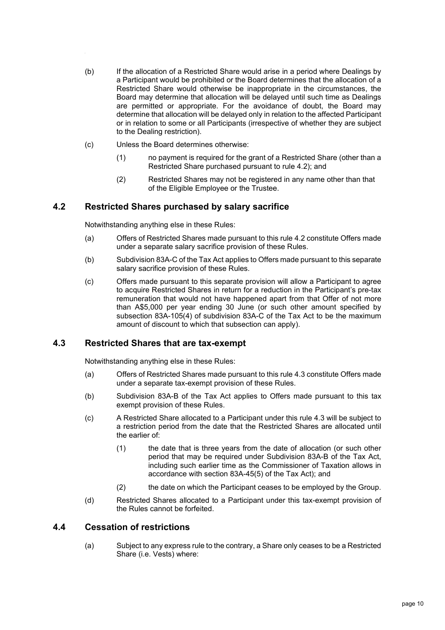- <span id="page-10-3"></span>(b) If the allocation of a Restricted Share would arise in a period where Dealings by a Participant would be prohibited or the Board determines that the allocation of a Restricted Share would otherwise be inappropriate in the circumstances, the Board may determine that allocation will be delayed until such time as Dealings are permitted or appropriate. For the avoidance of doubt, the Board may determine that allocation will be delayed only in relation to the affected Participant or in relation to some or all Participants (irrespective of whether they are subject to the Dealing restriction).
- (c) Unless the Board determines otherwise:
	- (1) no payment is required for the grant of a Restricted Share (other than a Restricted Share purchased pursuant to rule [4.2\)](#page-10-0); and
	- (2) Restricted Shares may not be registered in any name other than that of the Eligible Employee or the Trustee.

# <span id="page-10-0"></span>**4.2 Restricted Shares purchased by salary sacrifice**

Notwithstanding anything else in these Rules:

- (a) Offers of Restricted Shares made pursuant to this rule [4.2](#page-10-0) constitute Offers made under a separate salary sacrifice provision of these Rules.
- (b) Subdivision 83A-C of the Tax Act applies to Offers made pursuant to this separate salary sacrifice provision of these Rules.
- (c) Offers made pursuant to this separate provision will allow a Participant to agree to acquire Restricted Shares in return for a reduction in the Participant's pre-tax remuneration that would not have happened apart from that Offer of not more than A\$5,000 per year ending 30 June (or such other amount specified by subsection 83A-105(4) of subdivision 83A-C of the Tax Act to be the maximum amount of discount to which that subsection can apply).

## <span id="page-10-1"></span>**4.3 Restricted Shares that are tax-exempt**

Notwithstanding anything else in these Rules:

- (a) Offers of Restricted Shares made pursuant to this rule [4.3](#page-10-1) constitute Offers made under a separate tax-exempt provision of these Rules.
- (b) Subdivision 83A-B of the Tax Act applies to Offers made pursuant to this tax exempt provision of these Rules.
- (c) A Restricted Share allocated to a Participant under this rule [4.3](#page-10-1) will be subject to a restriction period from the date that the Restricted Shares are allocated until the earlier of:
	- (1) the date that is three years from the date of allocation (or such other period that may be required under Subdivision 83A-B of the Tax Act, including such earlier time as the Commissioner of Taxation allows in accordance with section 83A-45(5) of the Tax Act); and
	- (2) the date on which the Participant ceases to be employed by the Group.
- (d) Restricted Shares allocated to a Participant under this tax-exempt provision of the Rules cannot be forfeited.

#### <span id="page-10-4"></span><span id="page-10-2"></span>**4.4 Cessation of restrictions**

(a) Subject to any express rule to the contrary, a Share only ceases to be a Restricted Share (i.e. Vests) where: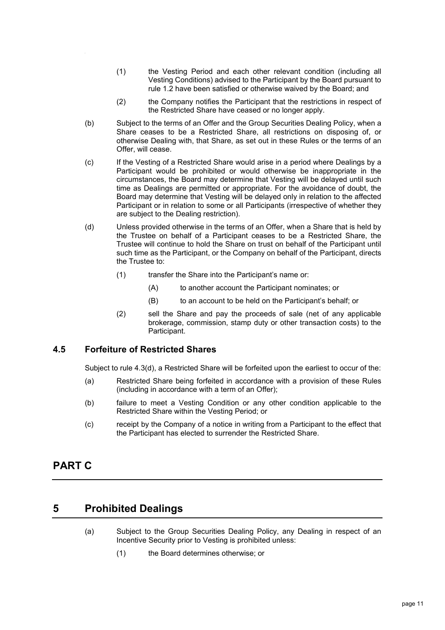- (1) the Vesting Period and each other relevant condition (including all Vesting Conditions) advised to the Participant by the Board pursuant to rule [1.2](#page-4-3) have been satisfied or otherwise waived by the Board; and
- (2) the Company notifies the Participant that the restrictions in respect of the Restricted Share have ceased or no longer apply.
- (b) Subject to the terms of an Offer and the Group Securities Dealing Policy, when a Share ceases to be a Restricted Share, all restrictions on disposing of, or otherwise Dealing with, that Share, as set out in these Rules or the terms of an Offer, will cease.
- (c) If the Vesting of a Restricted Share would arise in a period where Dealings by a Participant would be prohibited or would otherwise be inappropriate in the circumstances, the Board may determine that Vesting will be delayed until such time as Dealings are permitted or appropriate. For the avoidance of doubt, the Board may determine that Vesting will be delayed only in relation to the affected Participant or in relation to some or all Participants (irrespective of whether they are subject to the Dealing restriction).
- (d) Unless provided otherwise in the terms of an Offer, when a Share that is held by the Trustee on behalf of a Participant ceases to be a Restricted Share, the Trustee will continue to hold the Share on trust on behalf of the Participant until such time as the Participant, or the Company on behalf of the Participant, directs the Trustee to:
	- (1) transfer the Share into the Participant's name or:
		- (A) to another account the Participant nominates; or
		- (B) to an account to be held on the Participant's behalf; or
	- (2) sell the Share and pay the proceeds of sale (net of any applicable brokerage, commission, stamp duty or other transaction costs) to the Participant.

#### <span id="page-11-0"></span>**4.5 Forfeiture of Restricted Shares**

Subject to rule [4.3\(d\),](#page-10-4) a Restricted Share will be forfeited upon the earliest to occur of the:

- (a) Restricted Share being forfeited in accordance with a provision of these Rules (including in accordance with a term of an Offer);
- (b) failure to meet a Vesting Condition or any other condition applicable to the Restricted Share within the Vesting Period; or
- (c) receipt by the Company of a notice in writing from a Participant to the effect that the Participant has elected to surrender the Restricted Share.

# **PART C**

# <span id="page-11-2"></span><span id="page-11-1"></span>**5 Prohibited Dealings**

- (a) Subject to the Group Securities Dealing Policy, any Dealing in respect of an Incentive Security prior to Vesting is prohibited unless:
	- (1) the Board determines otherwise; or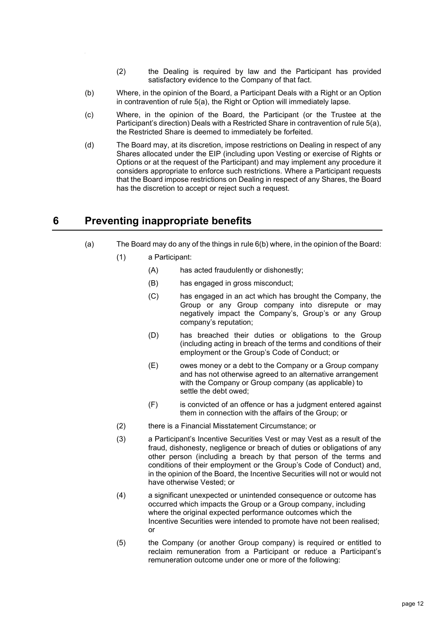- (2) the Dealing is required by law and the Participant has provided satisfactory evidence to the Company of that fact.
- (b) Where, in the opinion of the Board, a Participant Deals with a Right or an Option in contravention of rule [5\(a\),](#page-11-2) the Right or Option will immediately lapse.
- (c) Where, in the opinion of the Board, the Participant (or the Trustee at the Participant's direction) Deals with a Restricted Share in contravention of rul[e 5\(a\),](#page-11-2) the Restricted Share is deemed to immediately be forfeited.
- <span id="page-12-1"></span>(d) The Board may, at its discretion, impose restrictions on Dealing in respect of any Shares allocated under the EIP (including upon Vesting or exercise of Rights or Options or at the request of the Participant) and may implement any procedure it considers appropriate to enforce such restrictions. Where a Participant requests that the Board impose restrictions on Dealing in respect of any Shares, the Board has the discretion to accept or reject such a request.

# <span id="page-12-0"></span>**6 Preventing inappropriate benefits**

- (a) The Board may do any of the things in rul[e 6\(b\)](#page-13-0) where, in the opinion of the Board:
	- (1) a Participant:
		- (A) has acted fraudulently or dishonestly;
		- (B) has engaged in gross misconduct;
		- (C) has engaged in an act which has brought the Company, the Group or any Group company into disrepute or may negatively impact the Company's, Group's or any Group company's reputation;
		- (D) has breached their duties or obligations to the Group (including acting in breach of the terms and conditions of their employment or the Group's Code of Conduct; or
		- (E) owes money or a debt to the Company or a Group company and has not otherwise agreed to an alternative arrangement with the Company or Group company (as applicable) to settle the debt owed;
		- (F) is convicted of an offence or has a judgment entered against them in connection with the affairs of the Group; or
	- (2) there is a Financial Misstatement Circumstance; or
	- (3) a Participant's Incentive Securities Vest or may Vest as a result of the fraud, dishonesty, negligence or breach of duties or obligations of any other person (including a breach by that person of the terms and conditions of their employment or the Group's Code of Conduct) and, in the opinion of the Board, the Incentive Securities will not or would not have otherwise Vested; or
	- (4) a significant unexpected or unintended consequence or outcome has occurred which impacts the Group or a Group company, including where the original expected performance outcomes which the Incentive Securities were intended to promote have not been realised; or
	- (5) the Company (or another Group company) is required or entitled to reclaim remuneration from a Participant or reduce a Participant's remuneration outcome under one or more of the following: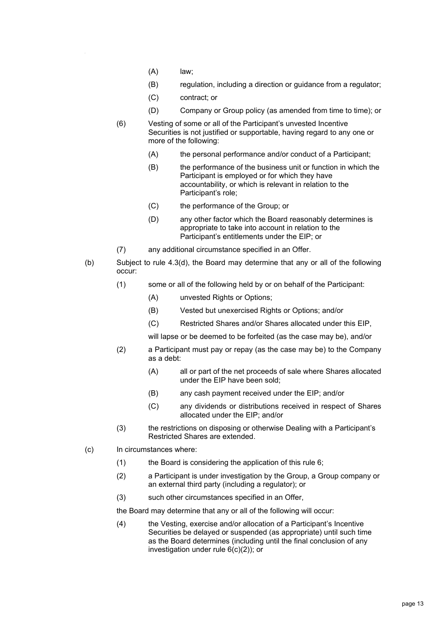- (A) law;
- (B) regulation, including a direction or guidance from a regulator;
- (C) contract; or
- (D) Company or Group policy (as amended from time to time); or
- (6) Vesting of some or all of the Participant's unvested Incentive Securities is not justified or supportable, having regard to any one or more of the following:
	- (A) the personal performance and/or conduct of a Participant;
	- (B) the performance of the business unit or function in which the Participant is employed or for which they have accountability, or which is relevant in relation to the Participant's role;
	- (C) the performance of the Group; or
	- (D) any other factor which the Board reasonably determines is appropriate to take into account in relation to the Participant's entitlements under the EIP; or
- (7) any additional circumstance specified in an Offer.
- <span id="page-13-0"></span>(b) Subject to rule [4.3\(d\),](#page-10-4) the Board may determine that any or all of the following occur:
	- (1) some or all of the following held by or on behalf of the Participant:
		- (A) unvested Rights or Options;
		- (B) Vested but unexercised Rights or Options; and/or
		- (C) Restricted Shares and/or Shares allocated under this EIP,

will lapse or be deemed to be forfeited (as the case may be), and/or

- (2) a Participant must pay or repay (as the case may be) to the Company as a debt:
	- (A) all or part of the net proceeds of sale where Shares allocated under the EIP have been sold;
	- (B) any cash payment received under the EIP; and/or
	- (C) any dividends or distributions received in respect of Shares allocated under the EIP; and/or
- (3) the restrictions on disposing or otherwise Dealing with a Participant's Restricted Shares are extended.
- <span id="page-13-1"></span>(c) In circumstances where:
	- (1) the Board is considering the application of this rule [6;](#page-12-0)
	- (2) a Participant is under investigation by the Group, a Group company or an external third party (including a regulator); or
	- (3) such other circumstances specified in an Offer,
	- the Board may determine that any or all of the following will occur:
	- (4) the Vesting, exercise and/or allocation of a Participant's Incentive Securities be delayed or suspended (as appropriate) until such time as the Board determines (including until the final conclusion of any investigation under rule [6\(c\)\(2\)\)](#page-13-1); or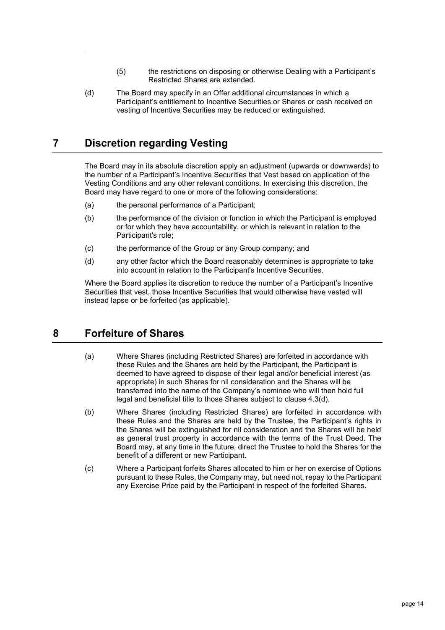- (5) the restrictions on disposing or otherwise Dealing with a Participant's Restricted Shares are extended.
- (d) The Board may specify in an Offer additional circumstances in which a Participant's entitlement to Incentive Securities or Shares or cash received on vesting of Incentive Securities may be reduced or extinguished.

# <span id="page-14-0"></span>**7 Discretion regarding Vesting**

The Board may in its absolute discretion apply an adjustment (upwards or downwards) to the number of a Participant's Incentive Securities that Vest based on application of the Vesting Conditions and any other relevant conditions. In exercising this discretion, the Board may have regard to one or more of the following considerations:

- (a) the personal performance of a Participant;
- (b) the performance of the division or function in which the Participant is employed or for which they have accountability, or which is relevant in relation to the Participant's role;
- (c) the performance of the Group or any Group company; and
- (d) any other factor which the Board reasonably determines is appropriate to take into account in relation to the Participant's Incentive Securities.

Where the Board applies its discretion to reduce the number of a Participant's Incentive Securities that vest, those Incentive Securities that would otherwise have vested will instead lapse or be forfeited (as applicable).

# <span id="page-14-1"></span>**8 Forfeiture of Shares**

- (a) Where Shares (including Restricted Shares) are forfeited in accordance with these Rules and the Shares are held by the Participant, the Participant is deemed to have agreed to dispose of their legal and/or beneficial interest (as appropriate) in such Shares for nil consideration and the Shares will be transferred into the name of the Company's nominee who will then hold full legal and beneficial title to those Shares subject to clause 4.3(d).
- (b) Where Shares (including Restricted Shares) are forfeited in accordance with these Rules and the Shares are held by the Trustee, the Participant's rights in the Shares will be extinguished for nil consideration and the Shares will be held as general trust property in accordance with the terms of the Trust Deed. The Board may, at any time in the future, direct the Trustee to hold the Shares for the benefit of a different or new Participant.
- (c) Where a Participant forfeits Shares allocated to him or her on exercise of Options pursuant to these Rules, the Company may, but need not, repay to the Participant any Exercise Price paid by the Participant in respect of the forfeited Shares.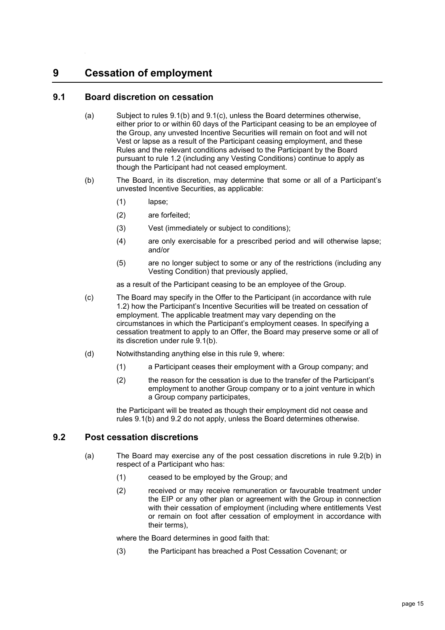# <span id="page-15-0"></span>**9 Cessation of employment**

# <span id="page-15-1"></span>**9.1 Board discretion on cessation**

- (a) Subject to rules [9.1\(b\)](#page-15-3) and [9.1\(c\),](#page-15-4) unless the Board determines otherwise, either prior to or within 60 days of the Participant ceasing to be an employee of the Group, any unvested Incentive Securities will remain on foot and will not Vest or lapse as a result of the Participant ceasing employment, and these Rules and the relevant conditions advised to the Participant by the Board pursuant to rule [1.2](#page-4-3) (including any Vesting Conditions) continue to apply as though the Participant had not ceased employment.
- <span id="page-15-3"></span>(b) The Board, in its discretion, may determine that some or all of a Participant's unvested Incentive Securities, as applicable:
	- (1) lapse;
	- (2) are forfeited;
	- (3) Vest (immediately or subject to conditions);
	- (4) are only exercisable for a prescribed period and will otherwise lapse; and/or
	- (5) are no longer subject to some or any of the restrictions (including any Vesting Condition) that previously applied,

as a result of the Participant ceasing to be an employee of the Group.

- <span id="page-15-4"></span>(c) The Board may specify in the Offer to the Participant (in accordance with rule [1.2\)](#page-4-3) how the Participant's Incentive Securities will be treated on cessation of employment. The applicable treatment may vary depending on the circumstances in which the Participant's employment ceases. In specifying a cessation treatment to apply to an Offer, the Board may preserve some or all of its discretion under rule [9.1\(b\).](#page-15-3)
- (d) Notwithstanding anything else in this rule [9,](#page-15-0) where:
	- (1) a Participant ceases their employment with a Group company; and
	- (2) the reason for the cessation is due to the transfer of the Participant's employment to another Group company or to a joint venture in which a Group company participates,

the Participant will be treated as though their employment did not cease and rules [9.1\(b\)](#page-15-3) and [9.2](#page-15-2) do not apply, unless the Board determines otherwise.

#### <span id="page-15-6"></span><span id="page-15-2"></span>**9.2 Post cessation discretions**

- <span id="page-15-5"></span>(a) The Board may exercise any of the post cessation discretions in rule [9.2\(b\)](#page-16-3) in respect of a Participant who has:
	- (1) ceased to be employed by the Group; and
	- (2) received or may receive remuneration or favourable treatment under the EIP or any other plan or agreement with the Group in connection with their cessation of employment (including where entitlements Vest or remain on foot after cessation of employment in accordance with their terms),

where the Board determines in good faith that:

(3) the Participant has breached a Post Cessation Covenant; or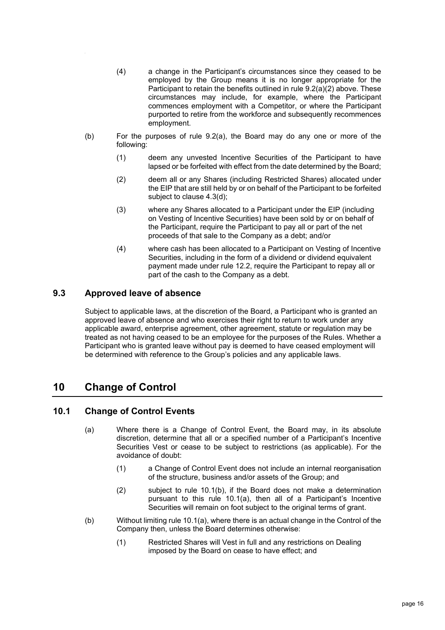- (4) a change in the Participant's circumstances since they ceased to be employed by the Group means it is no longer appropriate for the Participant to retain the benefits outlined in rule [9.2\(a\)\(2\)](#page-15-5) above. These circumstances may include, for example, where the Participant commences employment with a Competitor, or where the Participant purported to retire from the workforce and subsequently recommences employment.
- <span id="page-16-3"></span>(b) For the purposes of rule [9.2\(a\),](#page-15-6) the Board may do any one or more of the following:
	- (1) deem any unvested Incentive Securities of the Participant to have lapsed or be forfeited with effect from the date determined by the Board;
	- (2) deem all or any Shares (including Restricted Shares) allocated under the EIP that are still held by or on behalf of the Participant to be forfeited subject to clause 4.3(d);
	- (3) where any Shares allocated to a Participant under the EIP (including on Vesting of Incentive Securities) have been sold by or on behalf of the Participant, require the Participant to pay all or part of the net proceeds of that sale to the Company as a debt; and/or
	- (4) where cash has been allocated to a Participant on Vesting of Incentive Securities, including in the form of a dividend or dividend equivalent payment made under rule [12.2,](#page-19-2) require the Participant to repay all or part of the cash to the Company as a debt.

#### <span id="page-16-0"></span>**9.3 Approved leave of absence**

Subject to applicable laws, at the discretion of the Board, a Participant who is granted an approved leave of absence and who exercises their right to return to work under any applicable award, enterprise agreement, other agreement, statute or regulation may be treated as not having ceased to be an employee for the purposes of the Rules. Whether a Participant who is granted leave without pay is deemed to have ceased employment will be determined with reference to the Group's policies and any applicable laws.

# <span id="page-16-1"></span>**10 Change of Control**

# <span id="page-16-5"></span><span id="page-16-2"></span>**10.1 Change of Control Events**

- (a) Where there is a Change of Control Event, the Board may, in its absolute discretion, determine that all or a specified number of a Participant's Incentive Securities Vest or cease to be subject to restrictions (as applicable). For the avoidance of doubt:
	- (1) a Change of Control Event does not include an internal reorganisation of the structure, business and/or assets of the Group; and
	- (2) subject to rule [10.1\(b\),](#page-16-4) if the Board does not make a determination pursuant to this rule [10.1\(a\),](#page-16-5) then all of a Participant's Incentive Securities will remain on foot subject to the original terms of grant.
- <span id="page-16-4"></span>(b) Without limiting rule [10.1\(a\),](#page-16-5) where there is an actual change in the Control of the Company then, unless the Board determines otherwise:
	- (1) Restricted Shares will Vest in full and any restrictions on Dealing imposed by the Board on cease to have effect; and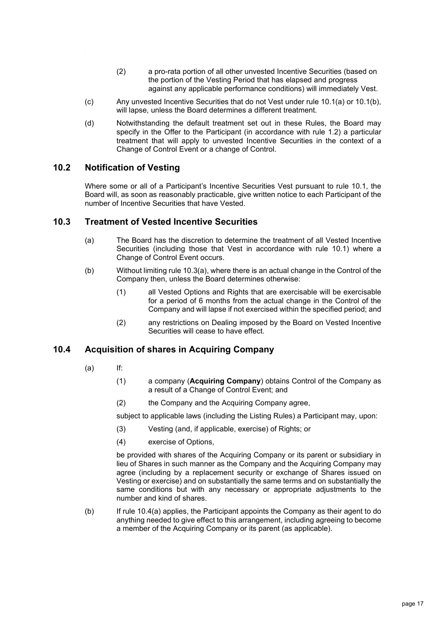- (2) a pro-rata portion of all other unvested Incentive Securities (based on the portion of the Vesting Period that has elapsed and progress against any applicable performance conditions) will immediately Vest.
- (c) Any unvested Incentive Securities that do not Vest under rule [10.1\(a\)](#page-16-5) or [10.1\(b\),](#page-16-4) will lapse, unless the Board determines a different treatment.
- (d) Notwithstanding the default treatment set out in these Rules, the Board may specify in the Offer to the Participant (in accordance with rule [1.2\)](#page-4-3) a particular treatment that will apply to unvested Incentive Securities in the context of a Change of Control Event or a change of Control.

# <span id="page-17-0"></span>**10.2 Notification of Vesting**

Where some or all of a Participant's Incentive Securities Vest pursuant to rule [10.1,](#page-16-2) the Board will, as soon as reasonably practicable, give written notice to each Participant of the number of Incentive Securities that have Vested.

## <span id="page-17-3"></span><span id="page-17-1"></span>**10.3 Treatment of Vested Incentive Securities**

- (a) The Board has the discretion to determine the treatment of all Vested Incentive Securities (including those that Vest in accordance with rule [10.1\)](#page-16-2) where a Change of Control Event occurs.
- (b) Without limiting rule [10.3\(a\),](#page-17-3) where there is an actual change in the Control of the Company then, unless the Board determines otherwise:
	- (1) all Vested Options and Rights that are exercisable will be exercisable for a period of 6 months from the actual change in the Control of the Company and will lapse if not exercised within the specified period; and
	- (2) any restrictions on Dealing imposed by the Board on Vested Incentive Securities will cease to have effect.

# <span id="page-17-4"></span><span id="page-17-2"></span>**10.4 Acquisition of shares in Acquiring Company**

- (a) If:
	- (1) a company (**Acquiring Company**) obtains Control of the Company as a result of a Change of Control Event; and
	- (2) the Company and the Acquiring Company agree,

subject to applicable laws (including the Listing Rules) a Participant may, upon:

- (3) Vesting (and, if applicable, exercise) of Rights; or
- (4) exercise of Options,

be provided with shares of the Acquiring Company or its parent or subsidiary in lieu of Shares in such manner as the Company and the Acquiring Company may agree (including by a replacement security or exchange of Shares issued on Vesting or exercise) and on substantially the same terms and on substantially the same conditions but with any necessary or appropriate adjustments to the number and kind of shares.

(b) If rule [10.4\(a\)](#page-17-4) applies, the Participant appoints the Company as their agent to do anything needed to give effect to this arrangement, including agreeing to become a member of the Acquiring Company or its parent (as applicable).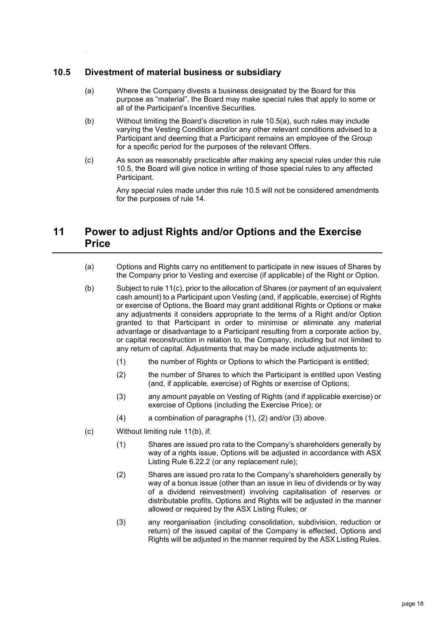# <span id="page-18-2"></span><span id="page-18-0"></span>**10.5 Divestment of material business or subsidiary**

- (a) Where the Company divests a business designated by the Board for this purpose as "material", the Board may make special rules that apply to some or all of the Participant's Incentive Securities.
- (b) Without limiting the Board's discretion in rule [10.5\(a\),](#page-18-2) such rules may include varying the Vesting Condition and/or any other relevant conditions advised to a Participant and deeming that a Participant remains an employee of the Group for a specific period for the purposes of the relevant Offers.
- (c) As soon as reasonably practicable after making any special rules under this rule [10.5,](#page-18-0) the Board will give notice in writing of those special rules to any affected Participant.

Any special rules made under this rule [10.5](#page-18-0) will not be considered amendments for the purposes of rule [14.](#page-21-0)

# <span id="page-18-1"></span>**11 Power to adjust Rights and/or Options and the Exercise Price**

- (a) Options and Rights carry no entitlement to participate in new issues of Shares by the Company prior to Vesting and exercise (if applicable) of the Right or Option.
- <span id="page-18-7"></span>(b) Subject to rule [11\(c\),](#page-18-3) prior to the allocation of Shares (or payment of an equivalent cash amount) to a Participant upon Vesting (and, if applicable, exercise) of Rights or exercise of Options, the Board may grant additional Rights or Options or make any adjustments it considers appropriate to the terms of a Right and/or Option granted to that Participant in order to minimise or eliminate any material advantage or disadvantage to a Participant resulting from a corporate action by, or capital reconstruction in relation to, the Company, including but not limited to any return of capital. Adjustments that may be made include adjustments to:
	- (1) the number of Rights or Options to which the Participant is entitled;
	- (2) the number of Shares to which the Participant is entitled upon Vesting (and, if applicable, exercise) of Rights or exercise of Options;
	- (3) any amount payable on Vesting of Rights (and if applicable exercise) or exercise of Options (including the Exercise Price); or
	- (4) a combination of paragraphs [\(1\),](#page-18-4) [\(2\)](#page-18-5) and/or [\(3\)](#page-18-6) above.
- <span id="page-18-6"></span><span id="page-18-5"></span><span id="page-18-4"></span><span id="page-18-3"></span>(c) Without limiting rule [11\(b\),](#page-18-7) if:
	- (1) Shares are issued pro rata to the Company's shareholders generally by way of a rights issue, Options will be adjusted in accordance with ASX Listing Rule 6.22.2 (or any replacement rule);
	- (2) Shares are issued pro rata to the Company's shareholders generally by way of a bonus issue (other than an issue in lieu of dividends or by way of a dividend reinvestment) involving capitalisation of reserves or distributable profits, Options and Rights will be adjusted in the manner allowed or required by the ASX Listing Rules; or
	- (3) any reorganisation (including consolidation, subdivision, reduction or return) of the issued capital of the Company is effected, Options and Rights will be adjusted in the manner required by the ASX Listing Rules.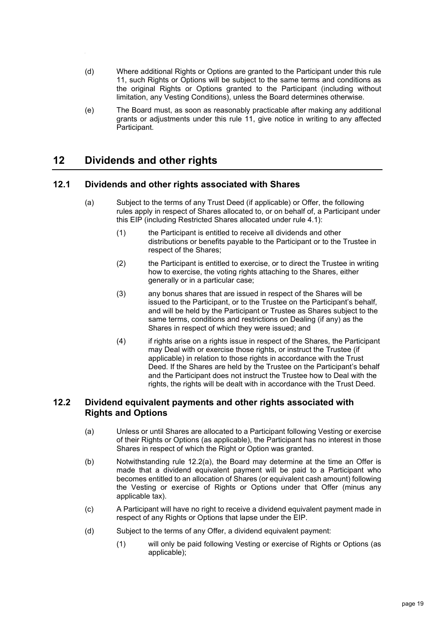- (d) Where additional Rights or Options are granted to the Participant under this rule [11,](#page-18-1) such Rights or Options will be subject to the same terms and conditions as the original Rights or Options granted to the Participant (including without limitation, any Vesting Conditions), unless the Board determines otherwise.
- (e) The Board must, as soon as reasonably practicable after making any additional grants or adjustments under this rule [11,](#page-18-1) give notice in writing to any affected Participant.

# <span id="page-19-0"></span>**12 Dividends and other rights**

# <span id="page-19-1"></span>**12.1 Dividends and other rights associated with Shares**

- (a) Subject to the terms of any Trust Deed (if applicable) or Offer, the following rules apply in respect of Shares allocated to, or on behalf of, a Participant under this EIP (including Restricted Shares allocated under rule [4.1\)](#page-9-3):
	- (1) the Participant is entitled to receive all dividends and other distributions or benefits payable to the Participant or to the Trustee in respect of the Shares;
	- (2) the Participant is entitled to exercise, or to direct the Trustee in writing how to exercise, the voting rights attaching to the Shares, either generally or in a particular case;
	- (3) any bonus shares that are issued in respect of the Shares will be issued to the Participant, or to the Trustee on the Participant's behalf, and will be held by the Participant or Trustee as Shares subject to the same terms, conditions and restrictions on Dealing (if any) as the Shares in respect of which they were issued; and
	- (4) if rights arise on a rights issue in respect of the Shares, the Participant may Deal with or exercise those rights, or instruct the Trustee (if applicable) in relation to those rights in accordance with the Trust Deed. If the Shares are held by the Trustee on the Participant's behalf and the Participant does not instruct the Trustee how to Deal with the rights, the rights will be dealt with in accordance with the Trust Deed.

# <span id="page-19-3"></span><span id="page-19-2"></span>**12.2 Dividend equivalent payments and other rights associated with Rights and Options**

- (a) Unless or until Shares are allocated to a Participant following Vesting or exercise of their Rights or Options (as applicable), the Participant has no interest in those Shares in respect of which the Right or Option was granted.
- <span id="page-19-4"></span>(b) Notwithstanding rule [12.2\(a\),](#page-19-3) the Board may determine at the time an Offer is made that a dividend equivalent payment will be paid to a Participant who becomes entitled to an allocation of Shares (or equivalent cash amount) following the Vesting or exercise of Rights or Options under that Offer (minus any applicable tax).
- (c) A Participant will have no right to receive a dividend equivalent payment made in respect of any Rights or Options that lapse under the EIP.
- (d) Subject to the terms of any Offer, a dividend equivalent payment:
	- (1) will only be paid following Vesting or exercise of Rights or Options (as applicable);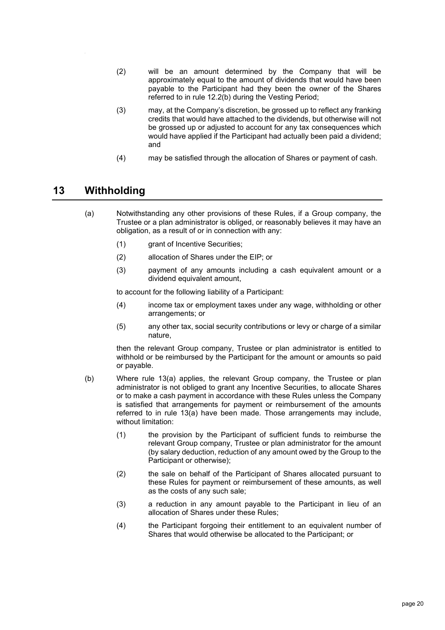- (2) will be an amount determined by the Company that will be approximately equal to the amount of dividends that would have been payable to the Participant had they been the owner of the Shares referred to in rule [12.2\(b\)](#page-19-4) during the Vesting Period;
- (3) may, at the Company's discretion, be grossed up to reflect any franking credits that would have attached to the dividends, but otherwise will not be grossed up or adjusted to account for any tax consequences which would have applied if the Participant had actually been paid a dividend; and
- (4) may be satisfied through the allocation of Shares or payment of cash.

# <span id="page-20-1"></span><span id="page-20-0"></span>**13 Withholding**

- (a) Notwithstanding any other provisions of these Rules, if a Group company, the Trustee or a plan administrator is obliged, or reasonably believes it may have an obligation, as a result of or in connection with any:
	- (1) grant of Incentive Securities;
	- (2) allocation of Shares under the EIP; or
	- (3) payment of any amounts including a cash equivalent amount or a dividend equivalent amount,

to account for the following liability of a Participant:

- (4) income tax or employment taxes under any wage, withholding or other arrangements; or
- (5) any other tax, social security contributions or levy or charge of a similar nature,

then the relevant Group company, Trustee or plan administrator is entitled to withhold or be reimbursed by the Participant for the amount or amounts so paid or payable.

- (b) Where rule [13\(a\)](#page-20-1) applies, the relevant Group company, the Trustee or plan administrator is not obliged to grant any Incentive Securities, to allocate Shares or to make a cash payment in accordance with these Rules unless the Company is satisfied that arrangements for payment or reimbursement of the amounts referred to in rule [13\(a\)](#page-20-1) have been made. Those arrangements may include, without limitation:
	- (1) the provision by the Participant of sufficient funds to reimburse the relevant Group company, Trustee or plan administrator for the amount (by salary deduction, reduction of any amount owed by the Group to the Participant or otherwise);
	- (2) the sale on behalf of the Participant of Shares allocated pursuant to these Rules for payment or reimbursement of these amounts, as well as the costs of any such sale;
	- (3) a reduction in any amount payable to the Participant in lieu of an allocation of Shares under these Rules;
	- (4) the Participant forgoing their entitlement to an equivalent number of Shares that would otherwise be allocated to the Participant; or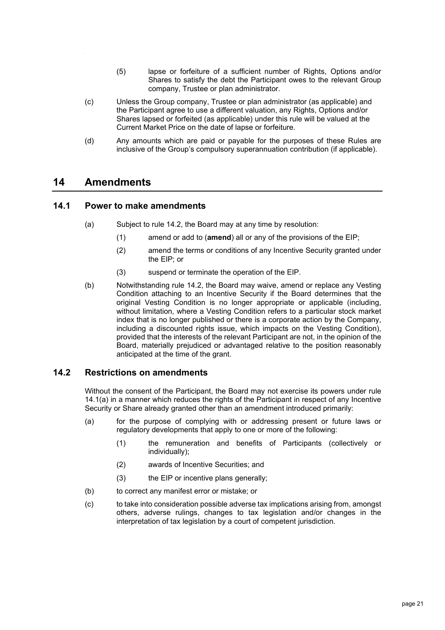- (5) lapse or forfeiture of a sufficient number of Rights, Options and/or Shares to satisfy the debt the Participant owes to the relevant Group company, Trustee or plan administrator.
- (c) Unless the Group company, Trustee or plan administrator (as applicable) and the Participant agree to use a different valuation, any Rights, Options and/or Shares lapsed or forfeited (as applicable) under this rule will be valued at the Current Market Price on the date of lapse or forfeiture.
- (d) Any amounts which are paid or payable for the purposes of these Rules are inclusive of the Group's compulsory superannuation contribution (if applicable).

# <span id="page-21-0"></span>**14 Amendments**

#### <span id="page-21-3"></span><span id="page-21-1"></span>**14.1 Power to make amendments**

- (a) Subject to rule [14.2,](#page-21-2) the Board may at any time by resolution:
	- (1) amend or add to (**amend**) all or any of the provisions of the EIP;
	- (2) amend the terms or conditions of any Incentive Security granted under the EIP; or
	- (3) suspend or terminate the operation of the EIP.
- (b) Notwithstanding rule [14.2,](#page-21-2) the Board may waive, amend or replace any Vesting Condition attaching to an Incentive Security if the Board determines that the original Vesting Condition is no longer appropriate or applicable (including, without limitation, where a Vesting Condition refers to a particular stock market index that is no longer published or there is a corporate action by the Company, including a discounted rights issue, which impacts on the Vesting Condition), provided that the interests of the relevant Participant are not, in the opinion of the Board, materially prejudiced or advantaged relative to the position reasonably anticipated at the time of the grant.

# <span id="page-21-2"></span>**14.2 Restrictions on amendments**

Without the consent of the Participant, the Board may not exercise its powers under rule [14.1\(a\)](#page-21-3) in a manner which reduces the rights of the Participant in respect of any Incentive Security or Share already granted other than an amendment introduced primarily:

- (a) for the purpose of complying with or addressing present or future laws or regulatory developments that apply to one or more of the following:
	- (1) the remuneration and benefits of Participants (collectively or individually);
	- (2) awards of Incentive Securities; and
	- (3) the EIP or incentive plans generally;
- (b) to correct any manifest error or mistake; or
- (c) to take into consideration possible adverse tax implications arising from, amongst others, adverse rulings, changes to tax legislation and/or changes in the interpretation of tax legislation by a court of competent jurisdiction.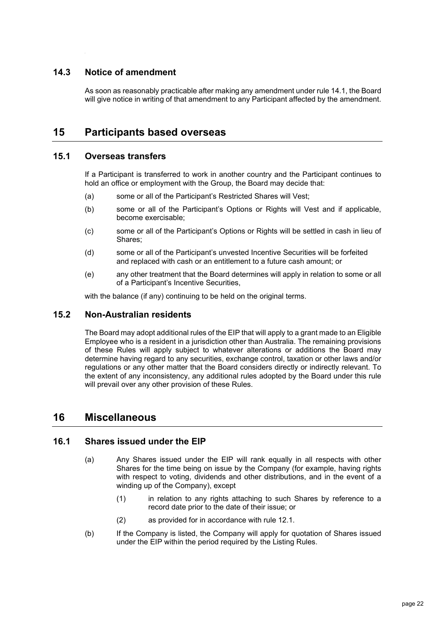# <span id="page-22-0"></span>**14.3 Notice of amendment**

As soon as reasonably practicable after making any amendment under rule [14.1,](#page-21-1) the Board will give notice in writing of that amendment to any Participant affected by the amendment.

# <span id="page-22-1"></span>**15 Participants based overseas**

#### <span id="page-22-2"></span>**15.1 Overseas transfers**

If a Participant is transferred to work in another country and the Participant continues to hold an office or employment with the Group, the Board may decide that:

- (a) some or all of the Participant's Restricted Shares will Vest;
- (b) some or all of the Participant's Options or Rights will Vest and if applicable, become exercisable;
- (c) some or all of the Participant's Options or Rights will be settled in cash in lieu of Shares;
- (d) some or all of the Participant's unvested Incentive Securities will be forfeited and replaced with cash or an entitlement to a future cash amount; or
- (e) any other treatment that the Board determines will apply in relation to some or all of a Participant's Incentive Securities,

with the balance (if any) continuing to be held on the original terms.

#### <span id="page-22-3"></span>**15.2 Non-Australian residents**

The Board may adopt additional rules of the EIP that will apply to a grant made to an Eligible Employee who is a resident in a jurisdiction other than Australia. The remaining provisions of these Rules will apply subject to whatever alterations or additions the Board may determine having regard to any securities, exchange control, taxation or other laws and/or regulations or any other matter that the Board considers directly or indirectly relevant. To the extent of any inconsistency, any additional rules adopted by the Board under this rule will prevail over any other provision of these Rules.

# <span id="page-22-4"></span>**16 Miscellaneous**

## <span id="page-22-5"></span>**16.1 Shares issued under the EIP**

- (a) Any Shares issued under the EIP will rank equally in all respects with other Shares for the time being on issue by the Company (for example, having rights with respect to voting, dividends and other distributions, and in the event of a winding up of the Company), except
	- (1) in relation to any rights attaching to such Shares by reference to a record date prior to the date of their issue; or
	- (2) as provided for in accordance with rule [12.1.](#page-19-1)
- (b) If the Company is listed, the Company will apply for quotation of Shares issued under the EIP within the period required by the Listing Rules.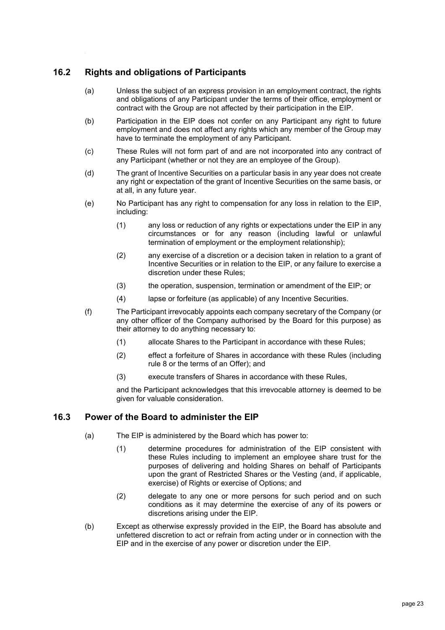# <span id="page-23-0"></span>**16.2 Rights and obligations of Participants**

- (a) Unless the subject of an express provision in an employment contract, the rights and obligations of any Participant under the terms of their office, employment or contract with the Group are not affected by their participation in the EIP.
- (b) Participation in the EIP does not confer on any Participant any right to future employment and does not affect any rights which any member of the Group may have to terminate the employment of any Participant.
- (c) These Rules will not form part of and are not incorporated into any contract of any Participant (whether or not they are an employee of the Group).
- (d) The grant of Incentive Securities on a particular basis in any year does not create any right or expectation of the grant of Incentive Securities on the same basis, or at all, in any future year.
- (e) No Participant has any right to compensation for any loss in relation to the EIP, including:
	- (1) any loss or reduction of any rights or expectations under the EIP in any circumstances or for any reason (including lawful or unlawful termination of employment or the employment relationship);
	- (2) any exercise of a discretion or a decision taken in relation to a grant of Incentive Securities or in relation to the EIP, or any failure to exercise a discretion under these Rules;
	- (3) the operation, suspension, termination or amendment of the EIP; or
	- (4) lapse or forfeiture (as applicable) of any Incentive Securities.
- (f) The Participant irrevocably appoints each company secretary of the Company (or any other officer of the Company authorised by the Board for this purpose) as their attorney to do anything necessary to:
	- (1) allocate Shares to the Participant in accordance with these Rules;
	- (2) effect a forfeiture of Shares in accordance with these Rules (including rule [8](#page-14-1) or the terms of an Offer); and
	- (3) execute transfers of Shares in accordance with these Rules,

and the Participant acknowledges that this irrevocable attorney is deemed to be given for valuable consideration.

## <span id="page-23-1"></span>**16.3 Power of the Board to administer the EIP**

- (a) The EIP is administered by the Board which has power to:
	- (1) determine procedures for administration of the EIP consistent with these Rules including to implement an employee share trust for the purposes of delivering and holding Shares on behalf of Participants upon the grant of Restricted Shares or the Vesting (and, if applicable, exercise) of Rights or exercise of Options; and
	- (2) delegate to any one or more persons for such period and on such conditions as it may determine the exercise of any of its powers or discretions arising under the EIP.
- (b) Except as otherwise expressly provided in the EIP, the Board has absolute and unfettered discretion to act or refrain from acting under or in connection with the EIP and in the exercise of any power or discretion under the EIP.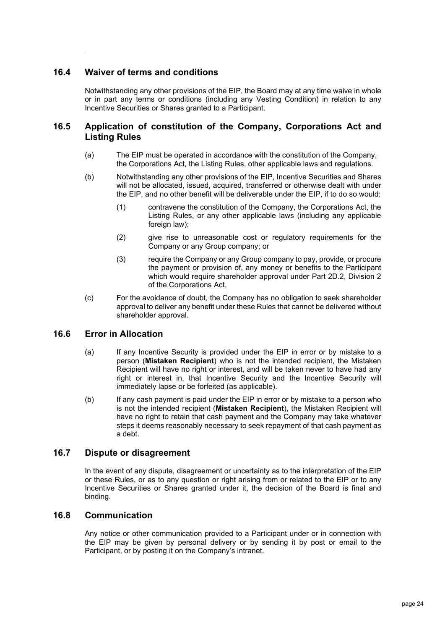# <span id="page-24-0"></span>**16.4 Waiver of terms and conditions**

Notwithstanding any other provisions of the EIP, the Board may at any time waive in whole or in part any terms or conditions (including any Vesting Condition) in relation to any Incentive Securities or Shares granted to a Participant.

## <span id="page-24-1"></span>**16.5 Application of constitution of the Company, Corporations Act and Listing Rules**

- (a) The EIP must be operated in accordance with the constitution of the Company, the Corporations Act, the Listing Rules, other applicable laws and regulations.
- (b) Notwithstanding any other provisions of the EIP, Incentive Securities and Shares will not be allocated, issued, acquired, transferred or otherwise dealt with under the EIP, and no other benefit will be deliverable under the EIP, if to do so would:
	- (1) contravene the constitution of the Company, the Corporations Act, the Listing Rules, or any other applicable laws (including any applicable foreign law);
	- (2) give rise to unreasonable cost or regulatory requirements for the Company or any Group company; or
	- (3) require the Company or any Group company to pay, provide, or procure the payment or provision of, any money or benefits to the Participant which would require shareholder approval under Part 2D.2, Division 2 of the Corporations Act.
- (c) For the avoidance of doubt, the Company has no obligation to seek shareholder approval to deliver any benefit under these Rules that cannot be delivered without shareholder approval.

# <span id="page-24-2"></span>**16.6 Error in Allocation**

- (a) If any Incentive Security is provided under the EIP in error or by mistake to a person (**Mistaken Recipient**) who is not the intended recipient, the Mistaken Recipient will have no right or interest, and will be taken never to have had any right or interest in, that Incentive Security and the Incentive Security will immediately lapse or be forfeited (as applicable).
- (b) If any cash payment is paid under the EIP in error or by mistake to a person who is not the intended recipient (**Mistaken Recipient**), the Mistaken Recipient will have no right to retain that cash payment and the Company may take whatever steps it deems reasonably necessary to seek repayment of that cash payment as a debt.

#### <span id="page-24-3"></span>**16.7 Dispute or disagreement**

In the event of any dispute, disagreement or uncertainty as to the interpretation of the EIP or these Rules, or as to any question or right arising from or related to the EIP or to any Incentive Securities or Shares granted under it, the decision of the Board is final and binding.

#### <span id="page-24-4"></span>**16.8 Communication**

Any notice or other communication provided to a Participant under or in connection with the EIP may be given by personal delivery or by sending it by post or email to the Participant, or by posting it on the Company's intranet.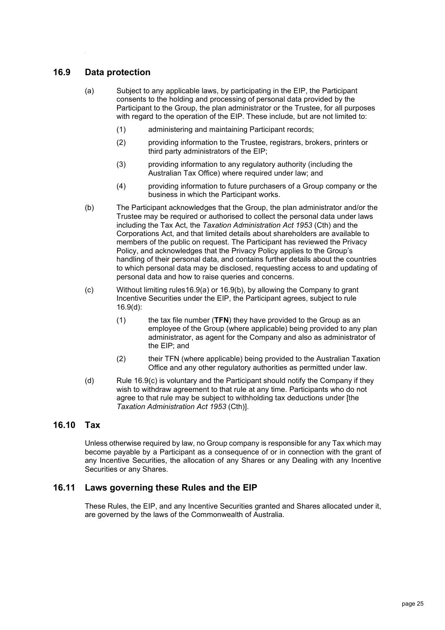# <span id="page-25-3"></span><span id="page-25-0"></span>**16.9 Data protection**

- (a) Subject to any applicable laws, by participating in the EIP, the Participant consents to the holding and processing of personal data provided by the Participant to the Group, the plan administrator or the Trustee, for all purposes with regard to the operation of the EIP. These include, but are not limited to:
	- (1) administering and maintaining Participant records;
	- (2) providing information to the Trustee, registrars, brokers, printers or third party administrators of the EIP;
	- (3) providing information to any regulatory authority (including the Australian Tax Office) where required under law; and
	- (4) providing information to future purchasers of a Group company or the business in which the Participant works.
- <span id="page-25-4"></span>(b) The Participant acknowledges that the Group, the plan administrator and/or the Trustee may be required or authorised to collect the personal data under laws including the Tax Act, the *Taxation Administration Act 1953* (Cth) and the Corporations Act, and that limited details about shareholders are available to members of the public on request. The Participant has reviewed the Privacy Policy, and acknowledges that the Privacy Policy applies to the Group's handling of their personal data, and contains further details about the countries to which personal data may be disclosed, requesting access to and updating of personal data and how to raise queries and concerns.
- <span id="page-25-6"></span>(c) Without limiting rule[s16.9\(a\)](#page-25-3) or [16.9\(b\),](#page-25-4) by allowing the Company to grant Incentive Securities under the EIP, the Participant agrees, subject to rule [16.9\(d\):](#page-25-5)
	- (1) the tax file number (**TFN**) they have provided to the Group as an employee of the Group (where applicable) being provided to any plan administrator, as agent for the Company and also as administrator of the EIP; and
	- (2) their TFN (where applicable) being provided to the Australian Taxation Office and any other regulatory authorities as permitted under law.
- <span id="page-25-5"></span>(d) Rule [16.9\(c\)](#page-25-6) is voluntary and the Participant should notify the Company if they wish to withdraw agreement to that rule at any time. Participants who do not agree to that rule may be subject to withholding tax deductions under [the *Taxation Administration Act 1953* (Cth)].

## <span id="page-25-1"></span>**16.10 Tax**

Unless otherwise required by law, no Group company is responsible for any Tax which may become payable by a Participant as a consequence of or in connection with the grant of any Incentive Securities, the allocation of any Shares or any Dealing with any Incentive Securities or any Shares.

## <span id="page-25-2"></span>**16.11 Laws governing these Rules and the EIP**

These Rules, the EIP, and any Incentive Securities granted and Shares allocated under it, are governed by the laws of the Commonwealth of Australia.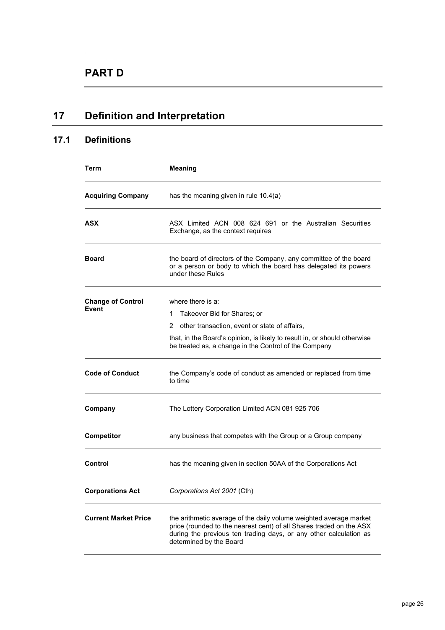# <span id="page-26-0"></span>**17 Definition and Interpretation**

# <span id="page-26-1"></span>**17.1 Definitions**

| Term                              | <b>Meaning</b>                                                                                                                                                                                                                                    |
|-----------------------------------|---------------------------------------------------------------------------------------------------------------------------------------------------------------------------------------------------------------------------------------------------|
| <b>Acquiring Company</b>          | has the meaning given in rule 10.4(a)                                                                                                                                                                                                             |
| ASX                               | ASX Limited ACN 008 624 691 or the Australian Securities<br>Exchange, as the context requires                                                                                                                                                     |
| <b>Board</b>                      | the board of directors of the Company, any committee of the board<br>or a person or body to which the board has delegated its powers<br>under these Rules                                                                                         |
| <b>Change of Control</b><br>Event | where there is a:<br>Takeover Bid for Shares; or<br>1<br>other transaction, event or state of affairs,<br>2<br>that, in the Board's opinion, is likely to result in, or should otherwise<br>be treated as, a change in the Control of the Company |
| <b>Code of Conduct</b>            | the Company's code of conduct as amended or replaced from time<br>to time                                                                                                                                                                         |
| Company                           | The Lottery Corporation Limited ACN 081 925 706                                                                                                                                                                                                   |
| <b>Competitor</b>                 | any business that competes with the Group or a Group company                                                                                                                                                                                      |
| Control                           | has the meaning given in section 50AA of the Corporations Act                                                                                                                                                                                     |
| <b>Corporations Act</b>           | Corporations Act 2001 (Cth)                                                                                                                                                                                                                       |
| <b>Current Market Price</b>       | the arithmetic average of the daily volume weighted average market<br>price (rounded to the nearest cent) of all Shares traded on the ASX<br>during the previous ten trading days, or any other calculation as<br>determined by the Board         |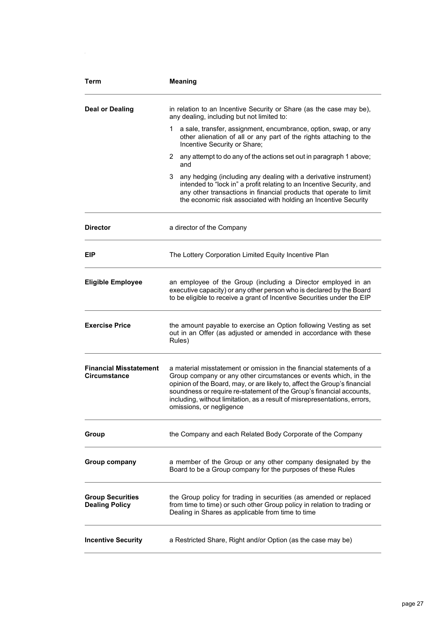| <b>Term</b>                                      | <b>Meaning</b>                                                                                                                                                                                                                                                                                                                                                                                         |
|--------------------------------------------------|--------------------------------------------------------------------------------------------------------------------------------------------------------------------------------------------------------------------------------------------------------------------------------------------------------------------------------------------------------------------------------------------------------|
| <b>Deal or Dealing</b>                           | in relation to an Incentive Security or Share (as the case may be),<br>any dealing, including but not limited to:                                                                                                                                                                                                                                                                                      |
|                                                  | a sale, transfer, assignment, encumbrance, option, swap, or any<br>1.<br>other alienation of all or any part of the rights attaching to the<br>Incentive Security or Share;                                                                                                                                                                                                                            |
|                                                  | 2 any attempt to do any of the actions set out in paragraph 1 above;<br>and                                                                                                                                                                                                                                                                                                                            |
|                                                  | 3<br>any hedging (including any dealing with a derivative instrument)<br>intended to "lock in" a profit relating to an Incentive Security, and<br>any other transactions in financial products that operate to limit<br>the economic risk associated with holding an Incentive Security                                                                                                                |
| <b>Director</b>                                  | a director of the Company                                                                                                                                                                                                                                                                                                                                                                              |
| EIP                                              | The Lottery Corporation Limited Equity Incentive Plan                                                                                                                                                                                                                                                                                                                                                  |
| <b>Eligible Employee</b>                         | an employee of the Group (including a Director employed in an<br>executive capacity) or any other person who is declared by the Board<br>to be eligible to receive a grant of Incentive Securities under the EIP                                                                                                                                                                                       |
| <b>Exercise Price</b>                            | the amount payable to exercise an Option following Vesting as set<br>out in an Offer (as adjusted or amended in accordance with these<br>Rules)                                                                                                                                                                                                                                                        |
| <b>Financial Misstatement</b><br>Circumstance    | a material misstatement or omission in the financial statements of a<br>Group company or any other circumstances or events which, in the<br>opinion of the Board, may, or are likely to, affect the Group's financial<br>soundness or require re-statement of the Group's financial accounts,<br>including, without limitation, as a result of misrepresentations, errors,<br>omissions, or negligence |
| Group                                            | the Company and each Related Body Corporate of the Company                                                                                                                                                                                                                                                                                                                                             |
| Group company                                    | a member of the Group or any other company designated by the<br>Board to be a Group company for the purposes of these Rules                                                                                                                                                                                                                                                                            |
| <b>Group Securities</b><br><b>Dealing Policy</b> | the Group policy for trading in securities (as amended or replaced<br>from time to time) or such other Group policy in relation to trading or<br>Dealing in Shares as applicable from time to time                                                                                                                                                                                                     |
| <b>Incentive Security</b>                        | a Restricted Share, Right and/or Option (as the case may be)                                                                                                                                                                                                                                                                                                                                           |

d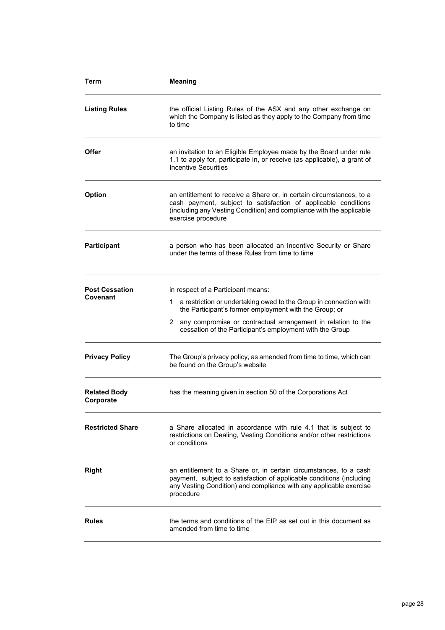| Term                              | <b>Meaning</b>                                                                                                                                                                                                                                                                                           |
|-----------------------------------|----------------------------------------------------------------------------------------------------------------------------------------------------------------------------------------------------------------------------------------------------------------------------------------------------------|
| <b>Listing Rules</b>              | the official Listing Rules of the ASX and any other exchange on<br>which the Company is listed as they apply to the Company from time<br>to time                                                                                                                                                         |
| Offer                             | an invitation to an Eligible Employee made by the Board under rule<br>1.1 to apply for, participate in, or receive (as applicable), a grant of<br><b>Incentive Securities</b>                                                                                                                            |
| <b>Option</b>                     | an entitlement to receive a Share or, in certain circumstances, to a<br>cash payment, subject to satisfaction of applicable conditions<br>(including any Vesting Condition) and compliance with the applicable<br>exercise procedure                                                                     |
| <b>Participant</b>                | a person who has been allocated an Incentive Security or Share<br>under the terms of these Rules from time to time                                                                                                                                                                                       |
| <b>Post Cessation</b><br>Covenant | in respect of a Participant means:<br>a restriction or undertaking owed to the Group in connection with<br>1.<br>the Participant's former employment with the Group; or<br>2<br>any compromise or contractual arrangement in relation to the<br>cessation of the Participant's employment with the Group |
| <b>Privacy Policy</b>             | The Group's privacy policy, as amended from time to time, which can<br>be found on the Group's website                                                                                                                                                                                                   |
| <b>Related Body</b><br>Corporate  | has the meaning given in section 50 of the Corporations Act                                                                                                                                                                                                                                              |
| <b>Restricted Share</b>           | a Share allocated in accordance with rule 4.1 that is subject to<br>restrictions on Dealing, Vesting Conditions and/or other restrictions<br>or conditions                                                                                                                                               |
| <b>Right</b>                      | an entitlement to a Share or, in certain circumstances, to a cash<br>payment, subject to satisfaction of applicable conditions (including<br>any Vesting Condition) and compliance with any applicable exercise<br>procedure                                                                             |
| <b>Rules</b>                      | the terms and conditions of the EIP as set out in this document as<br>amended from time to time                                                                                                                                                                                                          |

d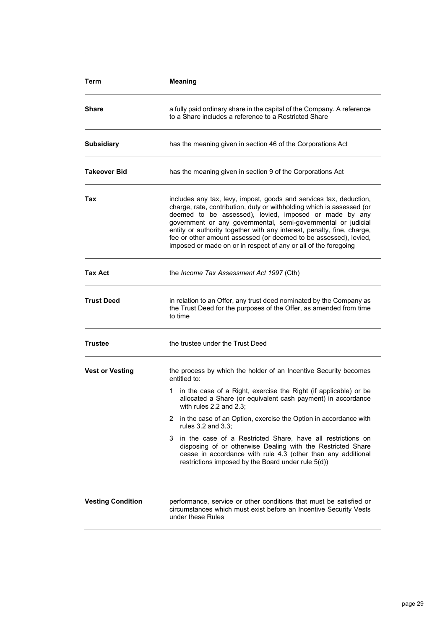| Term                     | <b>Meaning</b>                                                                                                                                                                                                                                                                                                                                                                                                                                                                          |
|--------------------------|-----------------------------------------------------------------------------------------------------------------------------------------------------------------------------------------------------------------------------------------------------------------------------------------------------------------------------------------------------------------------------------------------------------------------------------------------------------------------------------------|
| Share                    | a fully paid ordinary share in the capital of the Company. A reference<br>to a Share includes a reference to a Restricted Share                                                                                                                                                                                                                                                                                                                                                         |
| <b>Subsidiary</b>        | has the meaning given in section 46 of the Corporations Act                                                                                                                                                                                                                                                                                                                                                                                                                             |
| <b>Takeover Bid</b>      | has the meaning given in section 9 of the Corporations Act                                                                                                                                                                                                                                                                                                                                                                                                                              |
| Tax                      | includes any tax, levy, impost, goods and services tax, deduction,<br>charge, rate, contribution, duty or withholding which is assessed (or<br>deemed to be assessed), levied, imposed or made by any<br>government or any governmental, semi-governmental or judicial<br>entity or authority together with any interest, penalty, fine, charge,<br>fee or other amount assessed (or deemed to be assessed), levied,<br>imposed or made on or in respect of any or all of the foregoing |
| Tax Act                  | the Income Tax Assessment Act 1997 (Cth)                                                                                                                                                                                                                                                                                                                                                                                                                                                |
| <b>Trust Deed</b>        | in relation to an Offer, any trust deed nominated by the Company as<br>the Trust Deed for the purposes of the Offer, as amended from time<br>to time                                                                                                                                                                                                                                                                                                                                    |
| <b>Trustee</b>           | the trustee under the Trust Deed                                                                                                                                                                                                                                                                                                                                                                                                                                                        |
| <b>Vest or Vesting</b>   | the process by which the holder of an Incentive Security becomes<br>entitled to:<br>in the case of a Right, exercise the Right (if applicable) or be<br>1<br>allocated a Share (or equivalent cash payment) in accordance<br>with rules $2.2$ and $2.3$ :<br>in the case of an Option, exercise the Option in accordance with<br>2<br>rules 3.2 and 3.3:                                                                                                                                |
|                          | in the case of a Restricted Share, have all restrictions on<br>3.<br>disposing of or otherwise Dealing with the Restricted Share<br>cease in accordance with rule 4.3 (other than any additional<br>restrictions imposed by the Board under rule 5(d))                                                                                                                                                                                                                                  |
| <b>Vesting Condition</b> | performance, service or other conditions that must be satisfied or<br>circumstances which must exist before an Incentive Security Vests<br>under these Rules                                                                                                                                                                                                                                                                                                                            |

d